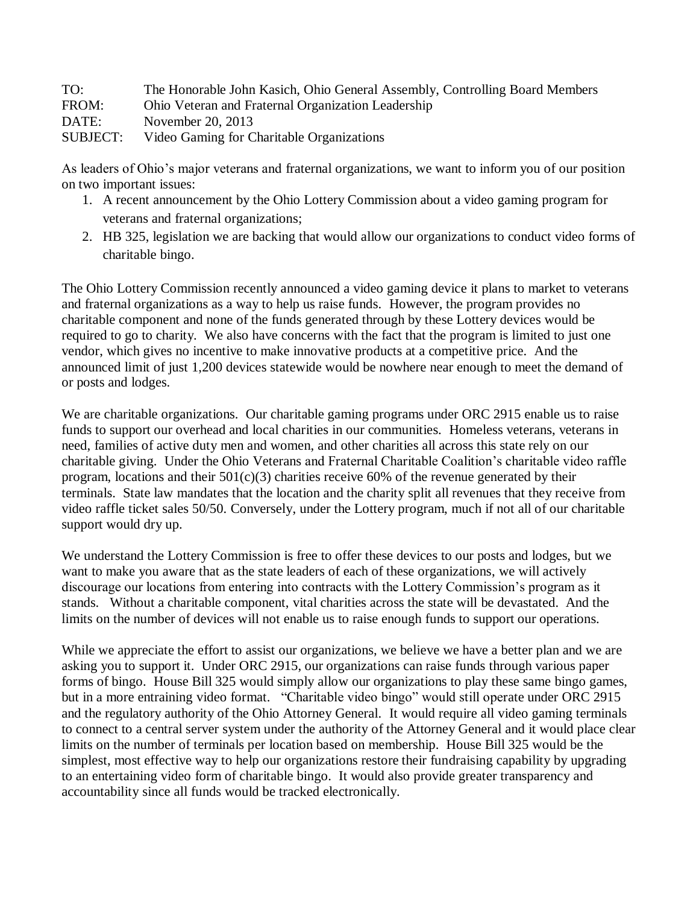| TO:             | The Honorable John Kasich, Ohio General Assembly, Controlling Board Members |
|-----------------|-----------------------------------------------------------------------------|
| FROM:           | Ohio Veteran and Fraternal Organization Leadership                          |
| DATE:           | November 20, 2013                                                           |
| <b>SUBJECT:</b> | Video Gaming for Charitable Organizations                                   |

As leaders of Ohio's major veterans and fraternal organizations, we want to inform you of our position on two important issues:

- 1. A recent announcement by the Ohio Lottery Commission about a video gaming program for veterans and fraternal organizations;
- 2. HB 325, legislation we are backing that would allow our organizations to conduct video forms of charitable bingo.

The Ohio Lottery Commission recently announced a video gaming device it plans to market to veterans and fraternal organizations as a way to help us raise funds. However, the program provides no charitable component and none of the funds generated through by these Lottery devices would be required to go to charity. We also have concerns with the fact that the program is limited to just one vendor, which gives no incentive to make innovative products at a competitive price. And the announced limit of just 1,200 devices statewide would be nowhere near enough to meet the demand of or posts and lodges.

We are charitable organizations. Our charitable gaming programs under ORC 2915 enable us to raise funds to support our overhead and local charities in our communities. Homeless veterans, veterans in need, families of active duty men and women, and other charities all across this state rely on our charitable giving. Under the Ohio Veterans and Fraternal Charitable Coalition's charitable video raffle program, locations and their  $501(c)(3)$  charities receive 60% of the revenue generated by their terminals. State law mandates that the location and the charity split all revenues that they receive from video raffle ticket sales 50/50. Conversely, under the Lottery program, much if not all of our charitable support would dry up.

We understand the Lottery Commission is free to offer these devices to our posts and lodges, but we want to make you aware that as the state leaders of each of these organizations, we will actively discourage our locations from entering into contracts with the Lottery Commission's program as it stands. Without a charitable component, vital charities across the state will be devastated. And the limits on the number of devices will not enable us to raise enough funds to support our operations.

While we appreciate the effort to assist our organizations, we believe we have a better plan and we are asking you to support it. Under ORC 2915, our organizations can raise funds through various paper forms of bingo. House Bill 325 would simply allow our organizations to play these same bingo games, but in a more entraining video format. "Charitable video bingo" would still operate under ORC 2915 and the regulatory authority of the Ohio Attorney General. It would require all video gaming terminals to connect to a central server system under the authority of the Attorney General and it would place clear limits on the number of terminals per location based on membership. House Bill 325 would be the simplest, most effective way to help our organizations restore their fundraising capability by upgrading to an entertaining video form of charitable bingo. It would also provide greater transparency and accountability since all funds would be tracked electronically.